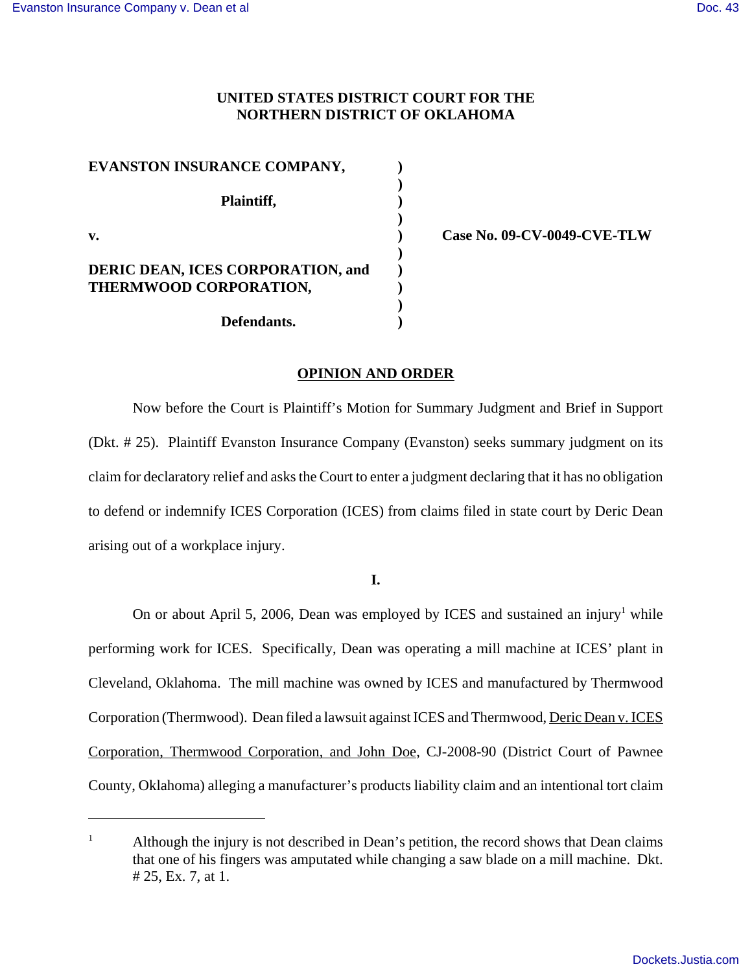# **UNITED STATES DISTRICT COURT FOR THE NORTHERN DISTRICT OF OKLAHOMA**

| EVANSTON INSURANCE COMPANY,              |  |
|------------------------------------------|--|
| Plaintiff,                               |  |
| $\mathbf{v}$ .                           |  |
| <b>DERIC DEAN, ICES CORPORATION, and</b> |  |
| THERMWOOD CORPORATION,                   |  |
| Defendants.                              |  |

**v. ) Case No. 09-CV-0049-CVE-TLW**

#### **OPINION AND ORDER**

Now before the Court is Plaintiff's Motion for Summary Judgment and Brief in Support (Dkt. # 25). Plaintiff Evanston Insurance Company (Evanston) seeks summary judgment on its claim for declaratory relief and asks the Court to enter a judgment declaring that it has no obligation to defend or indemnify ICES Corporation (ICES) from claims filed in state court by Deric Dean arising out of a workplace injury.

**I.**

On or about April 5, 2006, Dean was employed by ICES and sustained an injury<sup>1</sup> while performing work for ICES. Specifically, Dean was operating a mill machine at ICES' plant in Cleveland, Oklahoma. The mill machine was owned by ICES and manufactured by Thermwood Corporation (Thermwood). Dean filed a lawsuit against ICES and Thermwood, Deric Dean v. ICES Corporation, Thermwood Corporation, and John Doe, CJ-2008-90 (District Court of Pawnee County, Oklahoma) alleging a manufacturer's products liability claim and an intentional tort claim

<sup>&</sup>lt;sup>1</sup> Although the injury is not described in Dean's petition, the record shows that Dean claims that one of his fingers was amputated while changing a saw blade on a mill machine. Dkt. # 25, Ex. 7, at 1.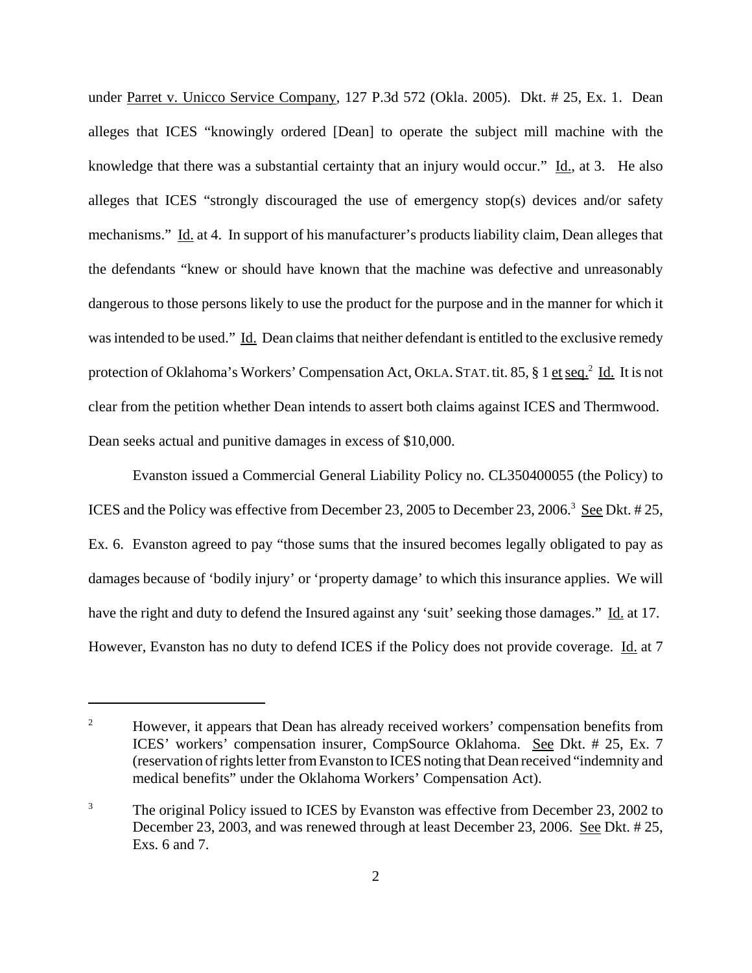under Parret v. Unicco Service Company, 127 P.3d 572 (Okla. 2005). Dkt. # 25, Ex. 1. Dean alleges that ICES "knowingly ordered [Dean] to operate the subject mill machine with the knowledge that there was a substantial certainty that an injury would occur."  $\underline{Id}$ , at 3. He also alleges that ICES "strongly discouraged the use of emergency stop(s) devices and/or safety mechanisms." Id. at 4. In support of his manufacturer's products liability claim, Dean alleges that the defendants "knew or should have known that the machine was defective and unreasonably dangerous to those persons likely to use the product for the purpose and in the manner for which it was intended to be used." Id. Dean claims that neither defendant is entitled to the exclusive remedy protection of Oklahoma's Workers' Compensation Act, OKLA. STAT. tit. 85, § 1 et seq.<sup>2</sup> Id. It is not clear from the petition whether Dean intends to assert both claims against ICES and Thermwood. Dean seeks actual and punitive damages in excess of \$10,000.

Evanston issued a Commercial General Liability Policy no. CL350400055 (the Policy) to ICES and the Policy was effective from December 23, 2005 to December 23, 2006.<sup>3</sup> See Dkt. # 25, Ex. 6. Evanston agreed to pay "those sums that the insured becomes legally obligated to pay as damages because of 'bodily injury' or 'property damage' to which this insurance applies. We will have the right and duty to defend the Insured against any 'suit' seeking those damages." Id. at 17. However, Evanston has no duty to defend ICES if the Policy does not provide coverage. Id. at 7

<sup>&</sup>lt;sup>2</sup> However, it appears that Dean has already received workers' compensation benefits from ICES' workers' compensation insurer, CompSource Oklahoma. See Dkt. # 25, Ex. 7 (reservation of rights letter from Evanston to ICES noting that Dean received "indemnity and medical benefits" under the Oklahoma Workers' Compensation Act).

<sup>&</sup>lt;sup>3</sup> The original Policy issued to ICES by Evanston was effective from December 23, 2002 to December 23, 2003, and was renewed through at least December 23, 2006. See Dkt. # 25, Exs. 6 and 7.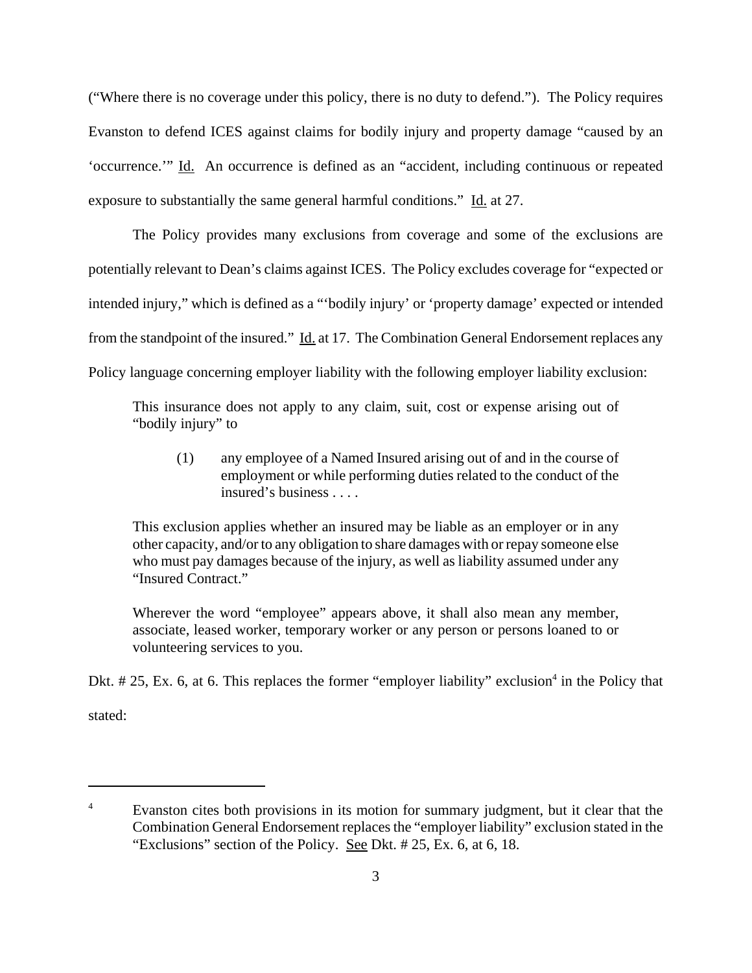("Where there is no coverage under this policy, there is no duty to defend."). The Policy requires Evanston to defend ICES against claims for bodily injury and property damage "caused by an 'occurrence.'" Id. An occurrence is defined as an "accident, including continuous or repeated exposure to substantially the same general harmful conditions." Id. at 27.

The Policy provides many exclusions from coverage and some of the exclusions are potentially relevant to Dean's claims against ICES. The Policy excludes coverage for "expected or intended injury," which is defined as a "'bodily injury' or 'property damage' expected or intended from the standpoint of the insured." Id. at 17. The Combination General Endorsement replaces any Policy language concerning employer liability with the following employer liability exclusion:

This insurance does not apply to any claim, suit, cost or expense arising out of "bodily injury" to

(1) any employee of a Named Insured arising out of and in the course of employment or while performing duties related to the conduct of the insured's business . . . .

This exclusion applies whether an insured may be liable as an employer or in any other capacity, and/or to any obligation to share damages with or repay someone else who must pay damages because of the injury, as well as liability assumed under any "Insured Contract."

Wherever the word "employee" appears above, it shall also mean any member, associate, leased worker, temporary worker or any person or persons loaned to or volunteering services to you.

Dkt.  $# 25$ , Ex. 6, at 6. This replaces the former "employer liability" exclusion<sup>4</sup> in the Policy that

stated:

<sup>&</sup>lt;sup>4</sup> Evanston cites both provisions in its motion for summary judgment, but it clear that the Combination General Endorsement replaces the "employer liability" exclusion stated in the "Exclusions" section of the Policy. See Dkt. # 25, Ex. 6, at 6, 18.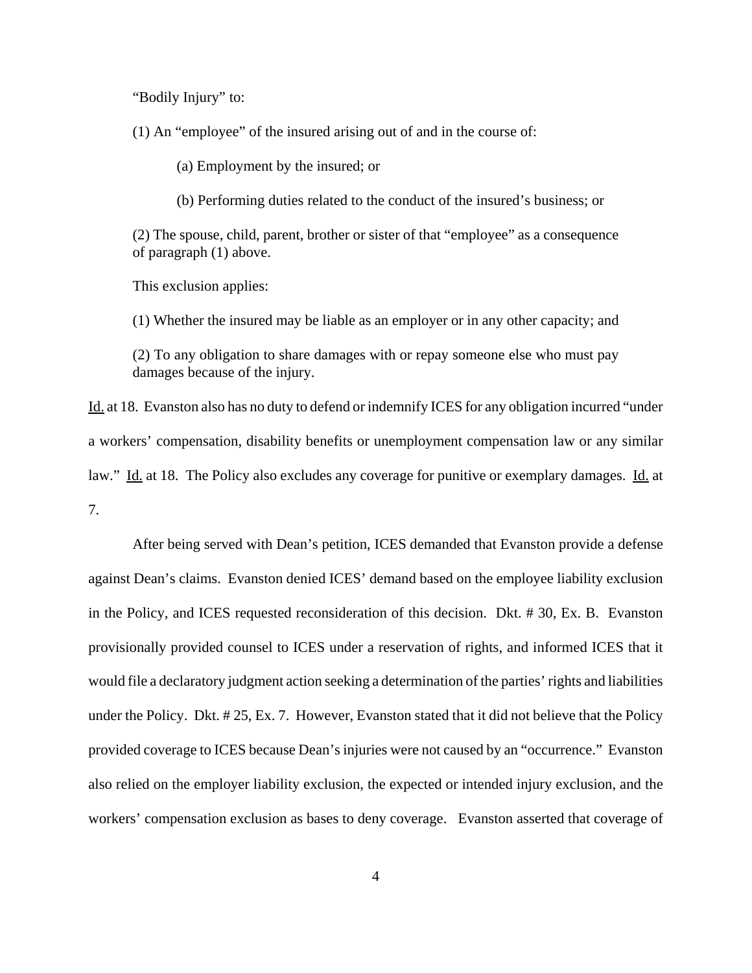"Bodily Injury" to:

(1) An "employee" of the insured arising out of and in the course of:

(a) Employment by the insured; or

(b) Performing duties related to the conduct of the insured's business; or

(2) The spouse, child, parent, brother or sister of that "employee" as a consequence of paragraph (1) above.

This exclusion applies:

(1) Whether the insured may be liable as an employer or in any other capacity; and

(2) To any obligation to share damages with or repay someone else who must pay damages because of the injury.

Id. at 18. Evanston also has no duty to defend or indemnify ICES for any obligation incurred "under a workers' compensation, disability benefits or unemployment compensation law or any similar law." Id. at 18. The Policy also excludes any coverage for punitive or exemplary damages. Id. at 7.

After being served with Dean's petition, ICES demanded that Evanston provide a defense against Dean's claims. Evanston denied ICES' demand based on the employee liability exclusion in the Policy, and ICES requested reconsideration of this decision. Dkt. # 30, Ex. B. Evanston provisionally provided counsel to ICES under a reservation of rights, and informed ICES that it would file a declaratory judgment action seeking a determination of the parties' rights and liabilities under the Policy. Dkt. # 25, Ex. 7. However, Evanston stated that it did not believe that the Policy provided coverage to ICES because Dean's injuries were not caused by an "occurrence." Evanston also relied on the employer liability exclusion, the expected or intended injury exclusion, and the workers' compensation exclusion as bases to deny coverage. Evanston asserted that coverage of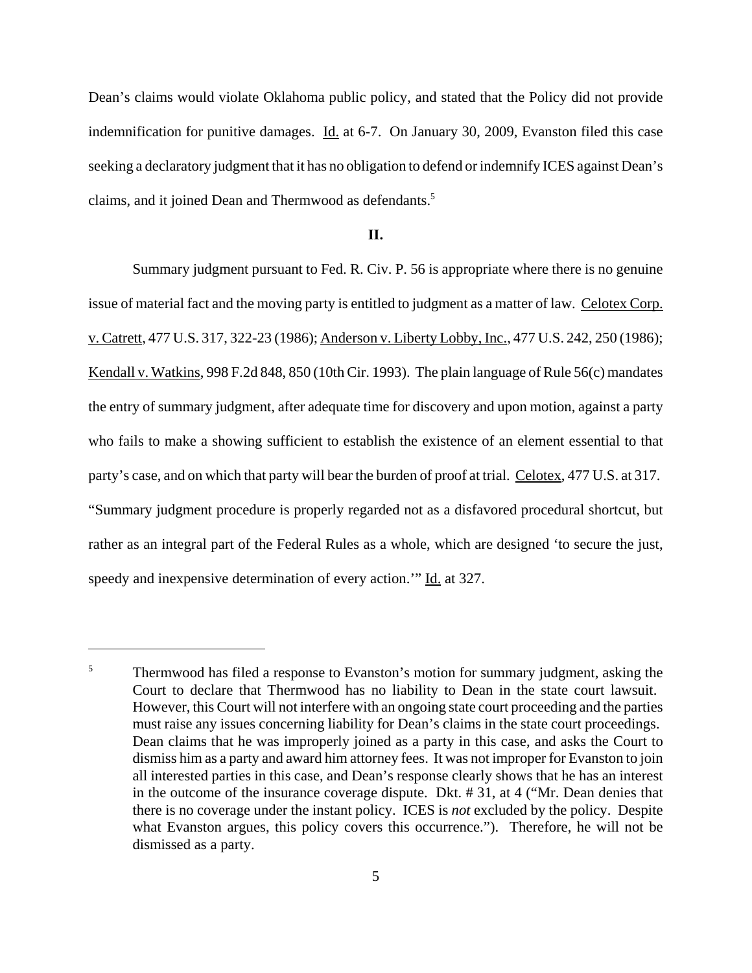Dean's claims would violate Oklahoma public policy, and stated that the Policy did not provide indemnification for punitive damages. Id. at 6-7. On January 30, 2009, Evanston filed this case seeking a declaratory judgment that it has no obligation to defend or indemnify ICES against Dean's claims, and it joined Dean and Thermwood as defendants.<sup>5</sup>

### **II.**

Summary judgment pursuant to Fed. R. Civ. P. 56 is appropriate where there is no genuine issue of material fact and the moving party is entitled to judgment as a matter of law. Celotex Corp. v. Catrett, 477 U.S. 317, 322-23 (1986); Anderson v. Liberty Lobby, Inc., 477 U.S. 242, 250 (1986); Kendall v. Watkins, 998 F.2d 848, 850 (10th Cir. 1993). The plain language of Rule 56(c) mandates the entry of summary judgment, after adequate time for discovery and upon motion, against a party who fails to make a showing sufficient to establish the existence of an element essential to that party's case, and on which that party will bear the burden of proof at trial. Celotex, 477 U.S. at 317. "Summary judgment procedure is properly regarded not as a disfavored procedural shortcut, but rather as an integral part of the Federal Rules as a whole, which are designed 'to secure the just, speedy and inexpensive determination of every action." Id. at 327.

<sup>&</sup>lt;sup>5</sup> Thermwood has filed a response to Evanston's motion for summary judgment, asking the Court to declare that Thermwood has no liability to Dean in the state court lawsuit. However, this Court will not interfere with an ongoing state court proceeding and the parties must raise any issues concerning liability for Dean's claims in the state court proceedings. Dean claims that he was improperly joined as a party in this case, and asks the Court to dismiss him as a party and award him attorney fees. It was not improper for Evanston to join all interested parties in this case, and Dean's response clearly shows that he has an interest in the outcome of the insurance coverage dispute. Dkt. # 31, at 4 ("Mr. Dean denies that there is no coverage under the instant policy. ICES is *not* excluded by the policy. Despite what Evanston argues, this policy covers this occurrence."). Therefore, he will not be dismissed as a party.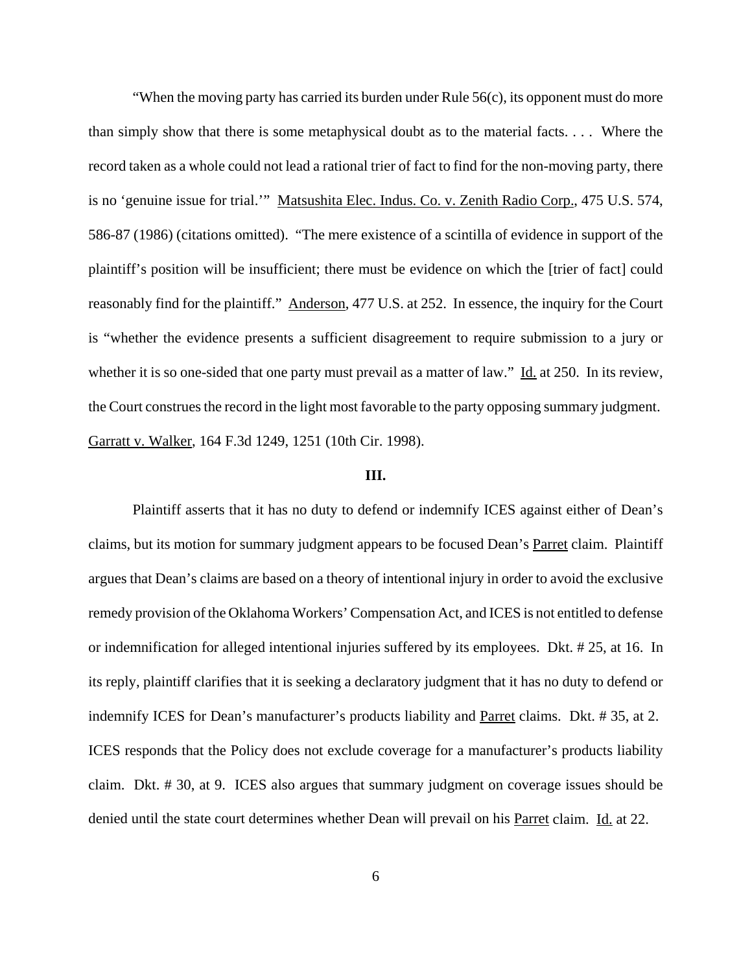"When the moving party has carried its burden under Rule 56(c), its opponent must do more than simply show that there is some metaphysical doubt as to the material facts. . . . Where the record taken as a whole could not lead a rational trier of fact to find for the non-moving party, there is no 'genuine issue for trial.'" Matsushita Elec. Indus. Co. v. Zenith Radio Corp., 475 U.S. 574, 586-87 (1986) (citations omitted). "The mere existence of a scintilla of evidence in support of the plaintiff's position will be insufficient; there must be evidence on which the [trier of fact] could reasonably find for the plaintiff." Anderson, 477 U.S. at 252. In essence, the inquiry for the Court is "whether the evidence presents a sufficient disagreement to require submission to a jury or whether it is so one-sided that one party must prevail as a matter of law." Id. at 250. In its review, the Court construes the record in the light most favorable to the party opposing summary judgment. Garratt v. Walker, 164 F.3d 1249, 1251 (10th Cir. 1998).

# **III.**

Plaintiff asserts that it has no duty to defend or indemnify ICES against either of Dean's claims, but its motion for summary judgment appears to be focused Dean's Parret claim. Plaintiff argues that Dean's claims are based on a theory of intentional injury in order to avoid the exclusive remedy provision of the Oklahoma Workers' Compensation Act, and ICES is not entitled to defense or indemnification for alleged intentional injuries suffered by its employees. Dkt. # 25, at 16. In its reply, plaintiff clarifies that it is seeking a declaratory judgment that it has no duty to defend or indemnify ICES for Dean's manufacturer's products liability and Parret claims. Dkt. # 35, at 2. ICES responds that the Policy does not exclude coverage for a manufacturer's products liability claim. Dkt. # 30, at 9. ICES also argues that summary judgment on coverage issues should be denied until the state court determines whether Dean will prevail on his Parret claim. Id. at 22.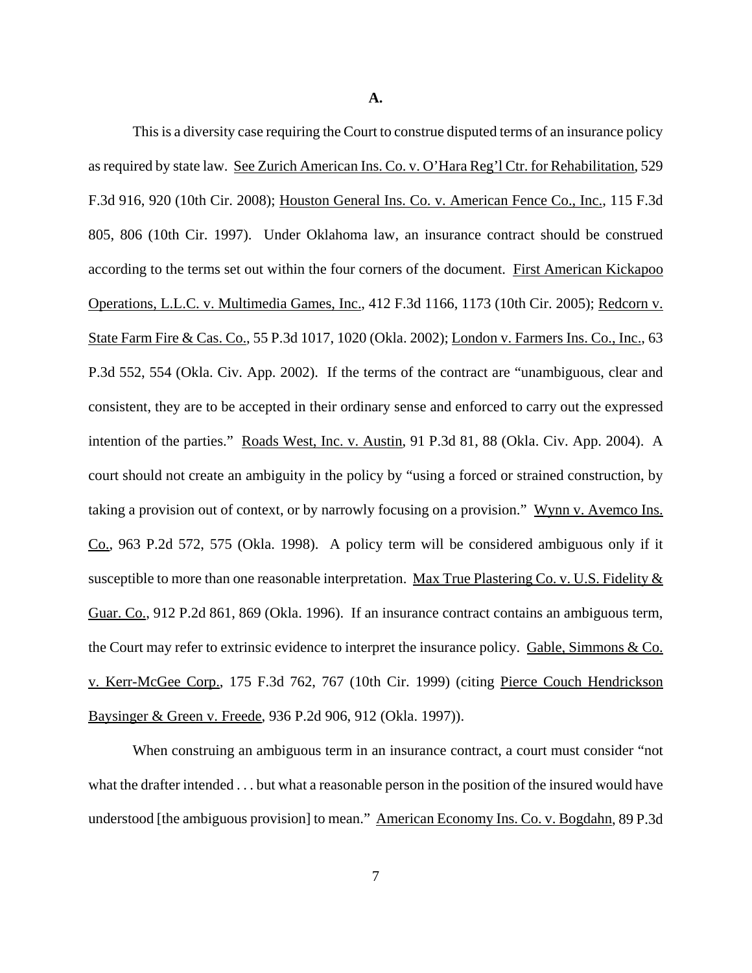**A.**

This is a diversity case requiring the Court to construe disputed terms of an insurance policy as required by state law. See Zurich American Ins. Co. v. O'Hara Reg'l Ctr. for Rehabilitation, 529 F.3d 916, 920 (10th Cir. 2008); Houston General Ins. Co. v. American Fence Co., Inc., 115 F.3d 805, 806 (10th Cir. 1997). Under Oklahoma law, an insurance contract should be construed according to the terms set out within the four corners of the document. First American Kickapoo Operations, L.L.C. v. Multimedia Games, Inc., 412 F.3d 1166, 1173 (10th Cir. 2005); Redcorn v. State Farm Fire & Cas. Co., 55 P.3d 1017, 1020 (Okla. 2002); London v. Farmers Ins. Co., Inc., 63 P.3d 552, 554 (Okla. Civ. App. 2002). If the terms of the contract are "unambiguous, clear and consistent, they are to be accepted in their ordinary sense and enforced to carry out the expressed intention of the parties." Roads West, Inc. v. Austin, 91 P.3d 81, 88 (Okla. Civ. App. 2004). A court should not create an ambiguity in the policy by "using a forced or strained construction, by taking a provision out of context, or by narrowly focusing on a provision." Wynn v. Avemco Ins. Co., 963 P.2d 572, 575 (Okla. 1998). A policy term will be considered ambiguous only if it susceptible to more than one reasonable interpretation. Max True Plastering Co. v. U.S. Fidelity  $&$ Guar. Co., 912 P.2d 861, 869 (Okla. 1996). If an insurance contract contains an ambiguous term, the Court may refer to extrinsic evidence to interpret the insurance policy. Gable, Simmons & Co. v. Kerr-McGee Corp., 175 F.3d 762, 767 (10th Cir. 1999) (citing Pierce Couch Hendrickson Baysinger & Green v. Freede, 936 P.2d 906, 912 (Okla. 1997)).

When construing an ambiguous term in an insurance contract, a court must consider "not what the drafter intended . . . but what a reasonable person in the position of the insured would have understood [the ambiguous provision] to mean." American Economy Ins. Co. v. Bogdahn, 89 P.3d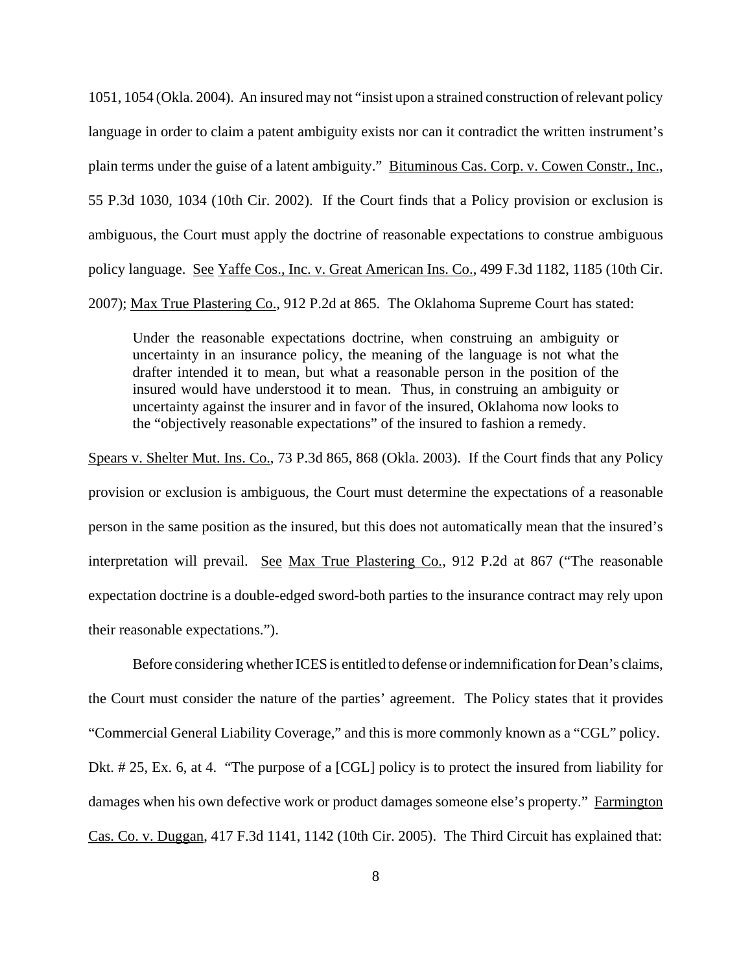1051, 1054 (Okla. 2004). An insured may not "insist upon a strained construction of relevant policy language in order to claim a patent ambiguity exists nor can it contradict the written instrument's plain terms under the guise of a latent ambiguity." Bituminous Cas. Corp. v. Cowen Constr., Inc., 55 P.3d 1030, 1034 (10th Cir. 2002). If the Court finds that a Policy provision or exclusion is ambiguous, the Court must apply the doctrine of reasonable expectations to construe ambiguous policy language. See Yaffe Cos., Inc. v. Great American Ins. Co., 499 F.3d 1182, 1185 (10th Cir. 2007); Max True Plastering Co., 912 P.2d at 865. The Oklahoma Supreme Court has stated:

Under the reasonable expectations doctrine, when construing an ambiguity or uncertainty in an insurance policy, the meaning of the language is not what the drafter intended it to mean, but what a reasonable person in the position of the insured would have understood it to mean. Thus, in construing an ambiguity or uncertainty against the insurer and in favor of the insured, Oklahoma now looks to the "objectively reasonable expectations" of the insured to fashion a remedy.

Spears v. Shelter Mut. Ins. Co., 73 P.3d 865, 868 (Okla. 2003). If the Court finds that any Policy provision or exclusion is ambiguous, the Court must determine the expectations of a reasonable person in the same position as the insured, but this does not automatically mean that the insured's interpretation will prevail. See Max True Plastering Co., 912 P.2d at 867 ("The reasonable expectation doctrine is a double-edged sword-both parties to the insurance contract may rely upon their reasonable expectations.").

Before considering whether ICES is entitled to defense or indemnification for Dean's claims, the Court must consider the nature of the parties' agreement. The Policy states that it provides "Commercial General Liability Coverage," and this is more commonly known as a "CGL" policy. Dkt. # 25, Ex. 6, at 4. "The purpose of a [CGL] policy is to protect the insured from liability for damages when his own defective work or product damages someone else's property." Farmington Cas. Co. v. Duggan, 417 F.3d 1141, 1142 (10th Cir. 2005). The Third Circuit has explained that: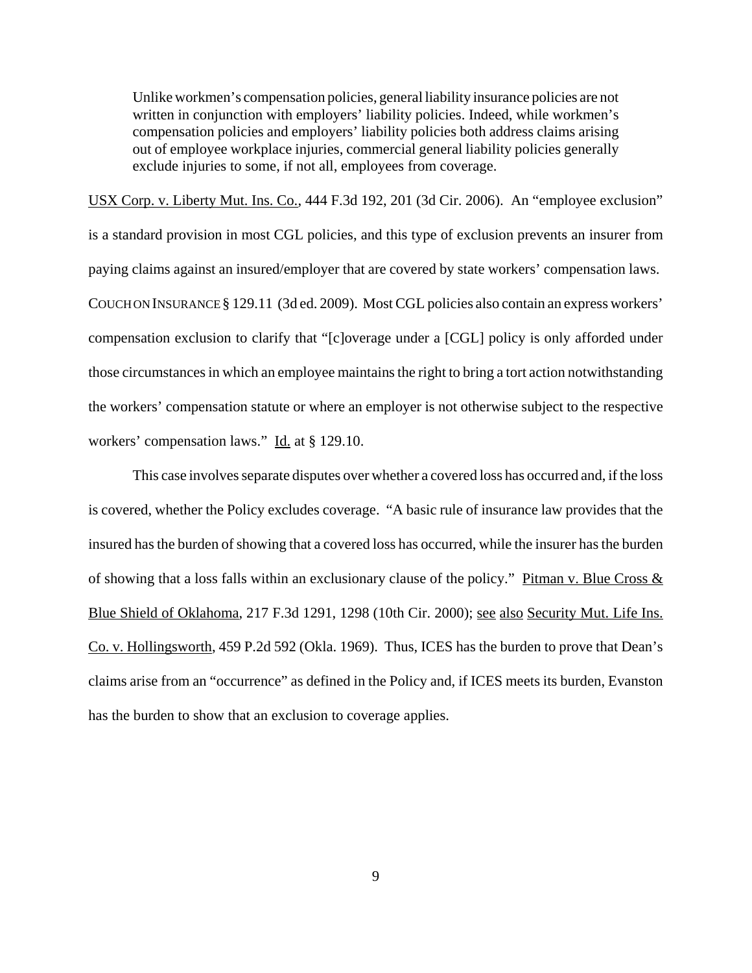Unlike workmen's compensation policies, general liability insurance policies are not written in conjunction with employers' liability policies. Indeed, while workmen's compensation policies and employers' liability policies both address claims arising out of employee workplace injuries, commercial general liability policies generally exclude injuries to some, if not all, employees from coverage.

USX Corp. v. Liberty Mut. Ins. Co., 444 F.3d 192, 201 (3d Cir. 2006). An "employee exclusion" is a standard provision in most CGL policies, and this type of exclusion prevents an insurer from paying claims against an insured/employer that are covered by state workers' compensation laws. COUCH ON INSURANCE § 129.11 (3d ed. 2009). Most CGL policies also contain an express workers' compensation exclusion to clarify that "[c]overage under a [CGL] policy is only afforded under those circumstances in which an employee maintains the right to bring a tort action notwithstanding the workers' compensation statute or where an employer is not otherwise subject to the respective workers' compensation laws." Id. at § 129.10.

This case involves separate disputes over whether a covered loss has occurred and, if the loss is covered, whether the Policy excludes coverage. "A basic rule of insurance law provides that the insured has the burden of showing that a covered loss has occurred, while the insurer has the burden of showing that a loss falls within an exclusionary clause of the policy." Pitman v. Blue Cross  $\&$ Blue Shield of Oklahoma, 217 F.3d 1291, 1298 (10th Cir. 2000); see also Security Mut. Life Ins. Co. v. Hollingsworth, 459 P.2d 592 (Okla. 1969). Thus, ICES has the burden to prove that Dean's claims arise from an "occurrence" as defined in the Policy and, if ICES meets its burden, Evanston has the burden to show that an exclusion to coverage applies.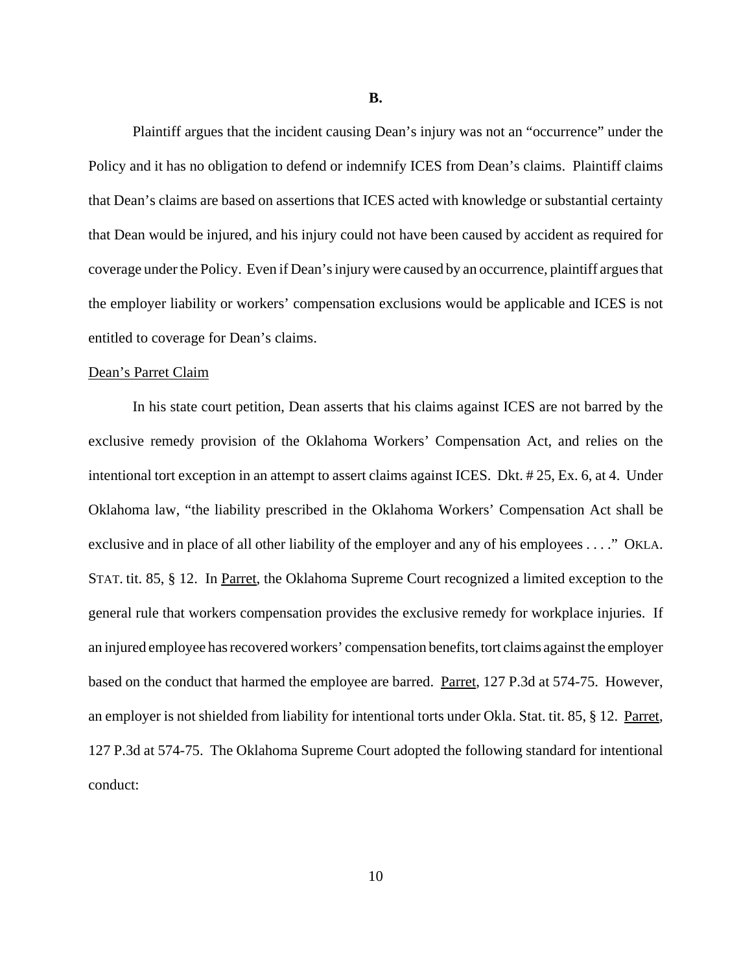**B.**

Plaintiff argues that the incident causing Dean's injury was not an "occurrence" under the Policy and it has no obligation to defend or indemnify ICES from Dean's claims. Plaintiff claims that Dean's claims are based on assertions that ICES acted with knowledge or substantial certainty that Dean would be injured, and his injury could not have been caused by accident as required for coverage under the Policy. Even if Dean's injury were caused by an occurrence, plaintiff argues that the employer liability or workers' compensation exclusions would be applicable and ICES is not entitled to coverage for Dean's claims.

#### Dean's Parret Claim

In his state court petition, Dean asserts that his claims against ICES are not barred by the exclusive remedy provision of the Oklahoma Workers' Compensation Act, and relies on the intentional tort exception in an attempt to assert claims against ICES. Dkt. # 25, Ex. 6, at 4. Under Oklahoma law, "the liability prescribed in the Oklahoma Workers' Compensation Act shall be exclusive and in place of all other liability of the employer and any of his employees . . . ." OKLA. STAT. tit. 85, § 12. In Parret, the Oklahoma Supreme Court recognized a limited exception to the general rule that workers compensation provides the exclusive remedy for workplace injuries. If an injured employee has recovered workers' compensation benefits, tort claims against the employer based on the conduct that harmed the employee are barred. Parret, 127 P.3d at 574-75. However, an employer is not shielded from liability for intentional torts under Okla. Stat. tit. 85, § 12. Parret, 127 P.3d at 574-75. The Oklahoma Supreme Court adopted the following standard for intentional conduct: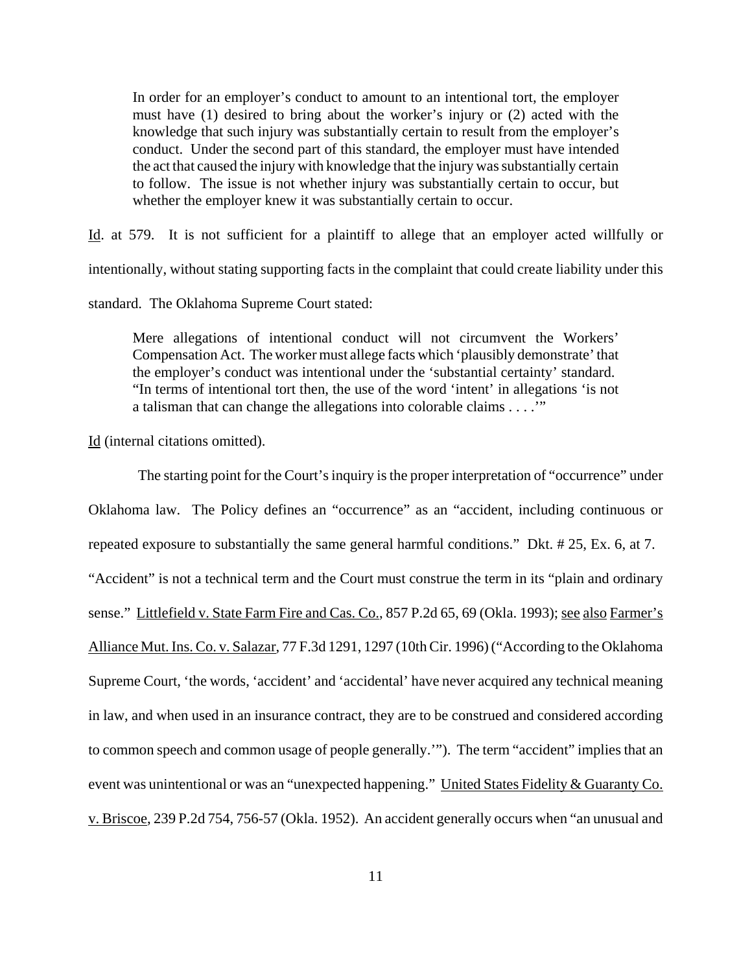In order for an employer's conduct to amount to an intentional tort, the employer must have (1) desired to bring about the worker's injury or (2) acted with the knowledge that such injury was substantially certain to result from the employer's conduct. Under the second part of this standard, the employer must have intended the act that caused the injury with knowledge that the injury was substantially certain to follow. The issue is not whether injury was substantially certain to occur, but whether the employer knew it was substantially certain to occur.

Id. at 579. It is not sufficient for a plaintiff to allege that an employer acted willfully or intentionally, without stating supporting facts in the complaint that could create liability under this standard. The Oklahoma Supreme Court stated:

Mere allegations of intentional conduct will not circumvent the Workers' Compensation Act. The worker must allege facts which 'plausibly demonstrate' that the employer's conduct was intentional under the 'substantial certainty' standard. "In terms of intentional tort then, the use of the word 'intent' in allegations 'is not a talisman that can change the allegations into colorable claims . . . .'"

Id (internal citations omitted).

 The starting point for the Court's inquiry is the proper interpretation of "occurrence" under Oklahoma law. The Policy defines an "occurrence" as an "accident, including continuous or repeated exposure to substantially the same general harmful conditions." Dkt. # 25, Ex. 6, at 7. "Accident" is not a technical term and the Court must construe the term in its "plain and ordinary sense." Littlefield v. State Farm Fire and Cas. Co., 857 P.2d 65, 69 (Okla. 1993); see also Farmer's Alliance Mut. Ins. Co. v. Salazar, 77 F.3d 1291, 1297 (10th Cir. 1996) ("According to the Oklahoma Supreme Court, 'the words, 'accident' and 'accidental' have never acquired any technical meaning in law, and when used in an insurance contract, they are to be construed and considered according to common speech and common usage of people generally.'"). The term "accident" implies that an event was unintentional or was an "unexpected happening." United States Fidelity & Guaranty Co. v. Briscoe, 239 P.2d 754, 756-57 (Okla. 1952). An accident generally occurs when "an unusual and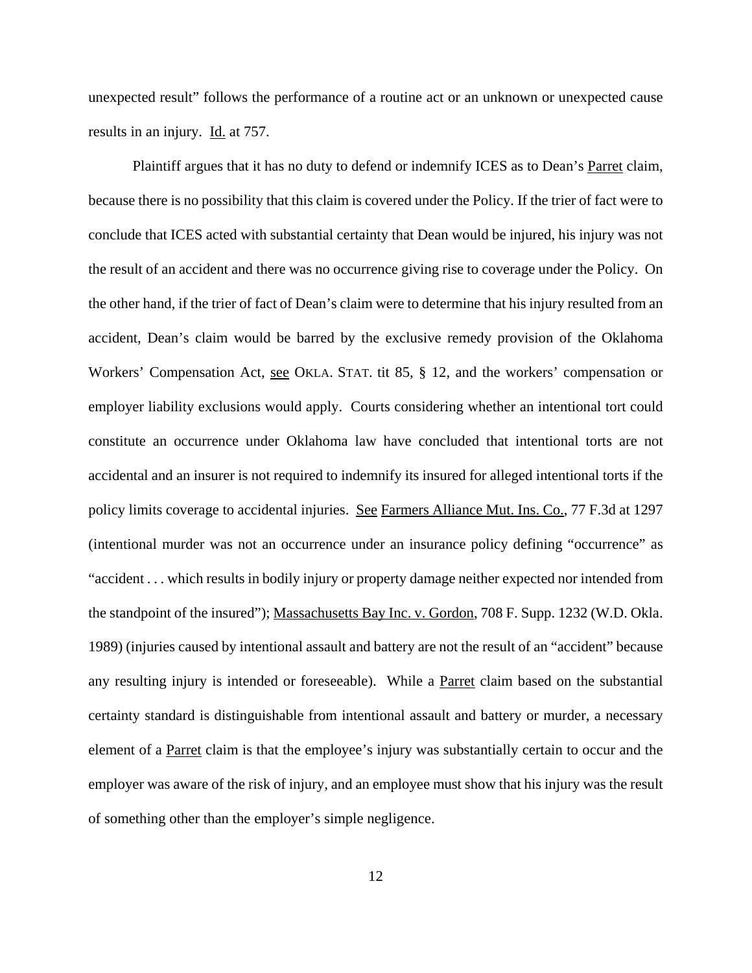unexpected result" follows the performance of a routine act or an unknown or unexpected cause results in an injury. Id. at 757.

Plaintiff argues that it has no duty to defend or indemnify ICES as to Dean's Parret claim, because there is no possibility that this claim is covered under the Policy. If the trier of fact were to conclude that ICES acted with substantial certainty that Dean would be injured, his injury was not the result of an accident and there was no occurrence giving rise to coverage under the Policy. On the other hand, if the trier of fact of Dean's claim were to determine that his injury resulted from an accident, Dean's claim would be barred by the exclusive remedy provision of the Oklahoma Workers' Compensation Act, see OKLA. STAT. tit 85, § 12, and the workers' compensation or employer liability exclusions would apply. Courts considering whether an intentional tort could constitute an occurrence under Oklahoma law have concluded that intentional torts are not accidental and an insurer is not required to indemnify its insured for alleged intentional torts if the policy limits coverage to accidental injuries. See Farmers Alliance Mut. Ins. Co., 77 F.3d at 1297 (intentional murder was not an occurrence under an insurance policy defining "occurrence" as "accident . . . which results in bodily injury or property damage neither expected nor intended from the standpoint of the insured"); Massachusetts Bay Inc. v. Gordon, 708 F. Supp. 1232 (W.D. Okla. 1989) (injuries caused by intentional assault and battery are not the result of an "accident" because any resulting injury is intended or foreseeable). While a **Parret** claim based on the substantial certainty standard is distinguishable from intentional assault and battery or murder, a necessary element of a Parret claim is that the employee's injury was substantially certain to occur and the employer was aware of the risk of injury, and an employee must show that his injury was the result of something other than the employer's simple negligence.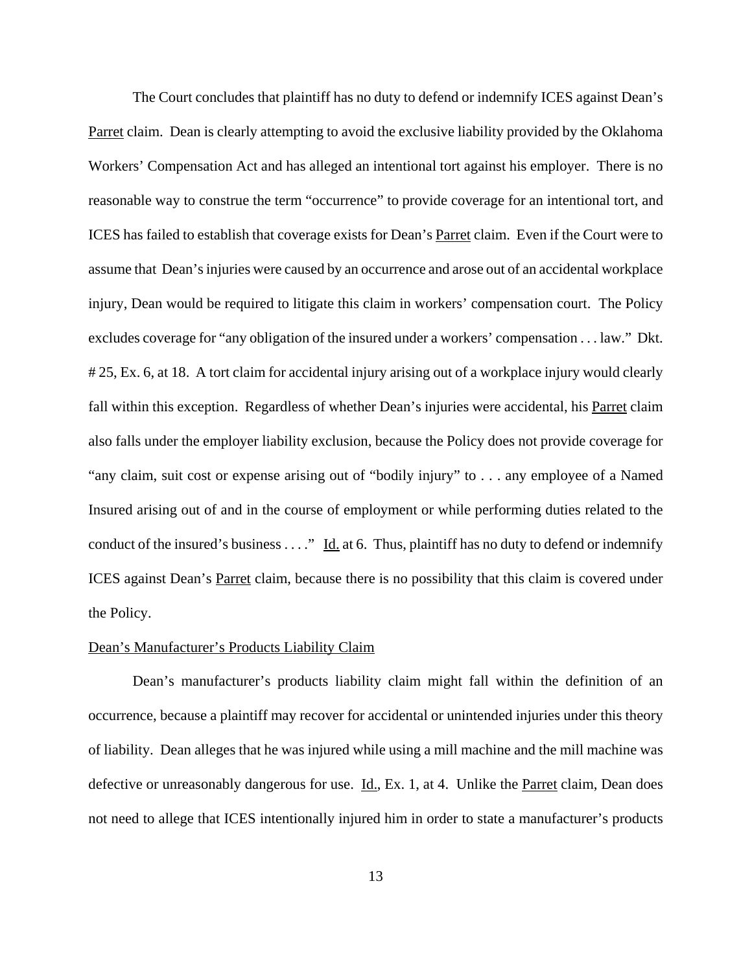The Court concludes that plaintiff has no duty to defend or indemnify ICES against Dean's Parret claim. Dean is clearly attempting to avoid the exclusive liability provided by the Oklahoma Workers' Compensation Act and has alleged an intentional tort against his employer. There is no reasonable way to construe the term "occurrence" to provide coverage for an intentional tort, and ICES has failed to establish that coverage exists for Dean's Parret claim. Even if the Court were to assume that Dean's injuries were caused by an occurrence and arose out of an accidental workplace injury, Dean would be required to litigate this claim in workers' compensation court. The Policy excludes coverage for "any obligation of the insured under a workers' compensation . . . law." Dkt. # 25, Ex. 6, at 18. A tort claim for accidental injury arising out of a workplace injury would clearly fall within this exception. Regardless of whether Dean's injuries were accidental, his Parret claim also falls under the employer liability exclusion, because the Policy does not provide coverage for "any claim, suit cost or expense arising out of "bodily injury" to . . . any employee of a Named Insured arising out of and in the course of employment or while performing duties related to the conduct of the insured's business . . . ." Id. at 6. Thus, plaintiff has no duty to defend or indemnify ICES against Dean's Parret claim, because there is no possibility that this claim is covered under the Policy.

## Dean's Manufacturer's Products Liability Claim

Dean's manufacturer's products liability claim might fall within the definition of an occurrence, because a plaintiff may recover for accidental or unintended injuries under this theory of liability. Dean alleges that he was injured while using a mill machine and the mill machine was defective or unreasonably dangerous for use. Id., Ex. 1, at 4. Unlike the Parret claim, Dean does not need to allege that ICES intentionally injured him in order to state a manufacturer's products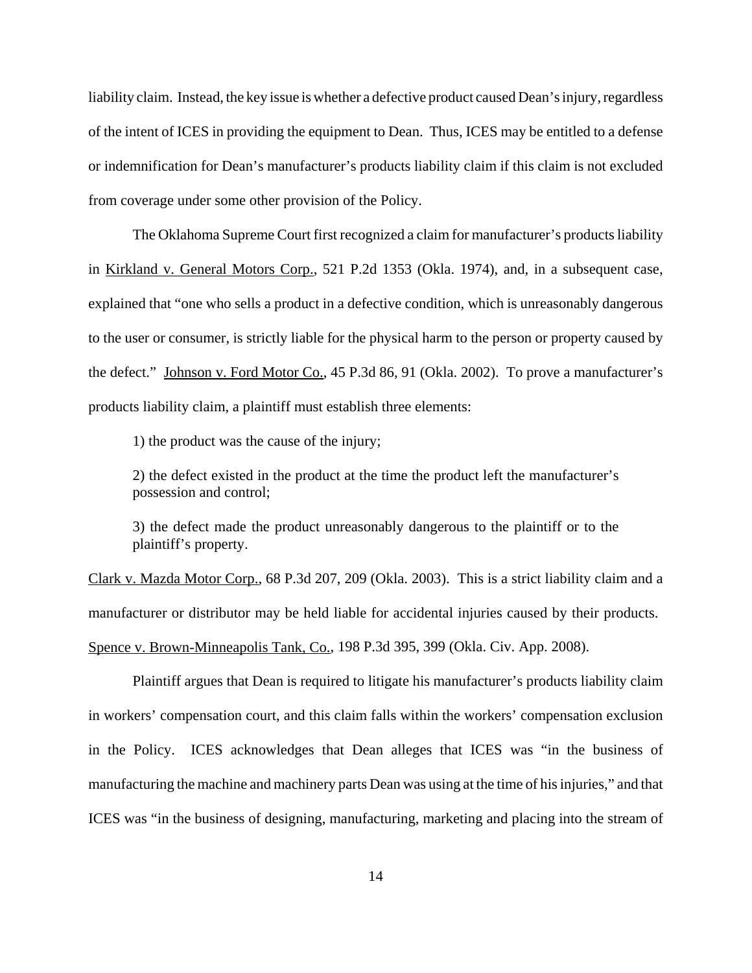liability claim. Instead, the key issue is whether a defective product caused Dean's injury, regardless of the intent of ICES in providing the equipment to Dean. Thus, ICES may be entitled to a defense or indemnification for Dean's manufacturer's products liability claim if this claim is not excluded from coverage under some other provision of the Policy.

The Oklahoma Supreme Court first recognized a claim for manufacturer's products liability in Kirkland v. General Motors Corp., 521 P.2d 1353 (Okla. 1974), and, in a subsequent case, explained that "one who sells a product in a defective condition, which is unreasonably dangerous to the user or consumer, is strictly liable for the physical harm to the person or property caused by the defect." Johnson v. Ford Motor Co., 45 P.3d 86, 91 (Okla. 2002). To prove a manufacturer's products liability claim, a plaintiff must establish three elements:

1) the product was the cause of the injury;

2) the defect existed in the product at the time the product left the manufacturer's possession and control;

3) the defect made the product unreasonably dangerous to the plaintiff or to the plaintiff's property.

Clark v. Mazda Motor Corp., 68 P.3d 207, 209 (Okla. 2003). This is a strict liability claim and a manufacturer or distributor may be held liable for accidental injuries caused by their products. Spence v. Brown-Minneapolis Tank, Co., 198 P.3d 395, 399 (Okla. Civ. App. 2008).

Plaintiff argues that Dean is required to litigate his manufacturer's products liability claim in workers' compensation court, and this claim falls within the workers' compensation exclusion in the Policy. ICES acknowledges that Dean alleges that ICES was "in the business of manufacturing the machine and machinery parts Dean was using at the time of his injuries," and that ICES was "in the business of designing, manufacturing, marketing and placing into the stream of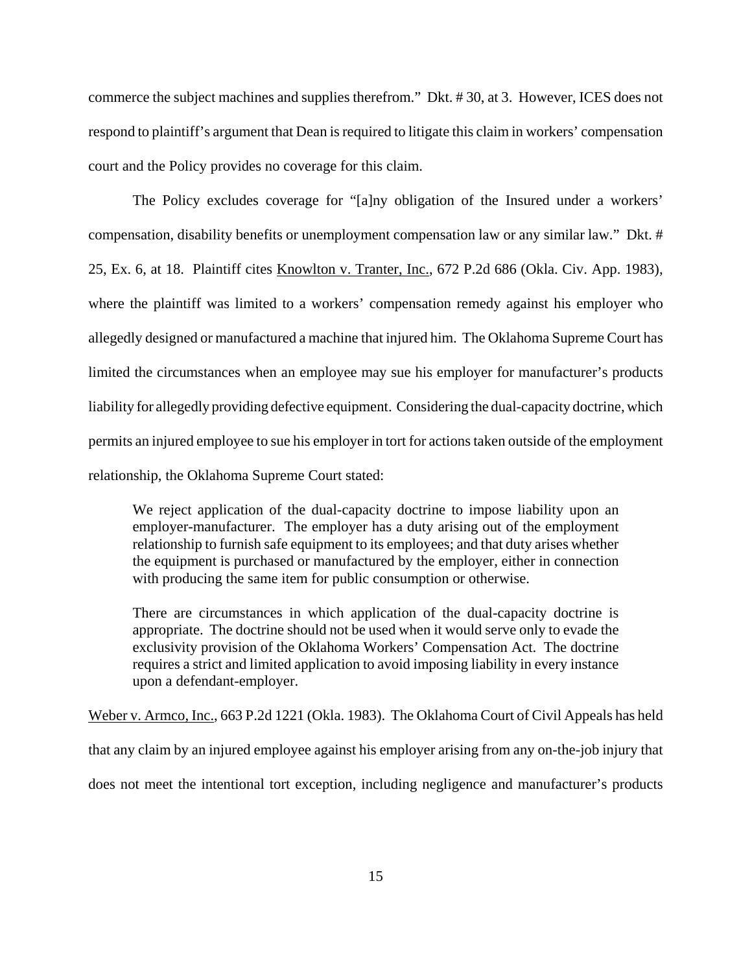commerce the subject machines and supplies therefrom." Dkt. # 30, at 3. However, ICES does not respond to plaintiff's argument that Dean is required to litigate this claim in workers' compensation court and the Policy provides no coverage for this claim.

The Policy excludes coverage for "[a]ny obligation of the Insured under a workers' compensation, disability benefits or unemployment compensation law or any similar law." Dkt. # 25, Ex. 6, at 18. Plaintiff cites Knowlton v. Tranter, Inc., 672 P.2d 686 (Okla. Civ. App. 1983), where the plaintiff was limited to a workers' compensation remedy against his employer who allegedly designed or manufactured a machine that injured him. The Oklahoma Supreme Court has limited the circumstances when an employee may sue his employer for manufacturer's products liability for allegedly providing defective equipment. Considering the dual-capacity doctrine, which permits an injured employee to sue his employer in tort for actions taken outside of the employment relationship, the Oklahoma Supreme Court stated:

We reject application of the dual-capacity doctrine to impose liability upon an employer-manufacturer. The employer has a duty arising out of the employment relationship to furnish safe equipment to its employees; and that duty arises whether the equipment is purchased or manufactured by the employer, either in connection with producing the same item for public consumption or otherwise.

There are circumstances in which application of the dual-capacity doctrine is appropriate. The doctrine should not be used when it would serve only to evade the exclusivity provision of the Oklahoma Workers' Compensation Act. The doctrine requires a strict and limited application to avoid imposing liability in every instance upon a defendant-employer.

Weber v. Armco, Inc., 663 P.2d 1221 (Okla. 1983). The Oklahoma Court of Civil Appeals has held that any claim by an injured employee against his employer arising from any on-the-job injury that does not meet the intentional tort exception, including negligence and manufacturer's products